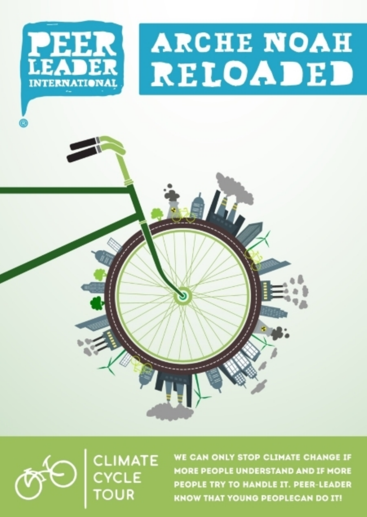



WE CAN ONLY STOP CLIMATE CHANGE IF **MORE PEOPLE UNDERSTAND AND IF MORE** PEOPLE TRY TO HANDLE IT. PEER-LEADER **KNOW THAT YOUNG PEOPLECAN DO IT!**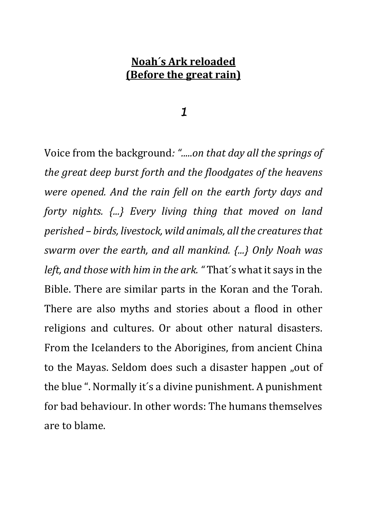#### **Noah´s Ark reloaded (Before the great rain)**

#### 1

Voice from the background*: ".....on that day all the springs of the great deep burst forth and the floodgates of the heavens were opened. And the rain fell on the earth forty days and forty nights. {...} Every living thing that moved on land perished – birds, livestock, wild animals, all the creatures that swarm over the earth, and all mankind. {...} Only Noah was left, and those with him in the ark. "* That´s what it says in the Bible. There are similar parts in the Koran and the Torah. There are also myths and stories about a flood in other religions and cultures. Or about other natural disasters. From the Icelanders to the Aborigines, from ancient China to the Mayas. Seldom does such a disaster happen "out of the blue ". Normally it´s a divine punishment. A punishment for bad behaviour. In other words: The humans themselves are to blame.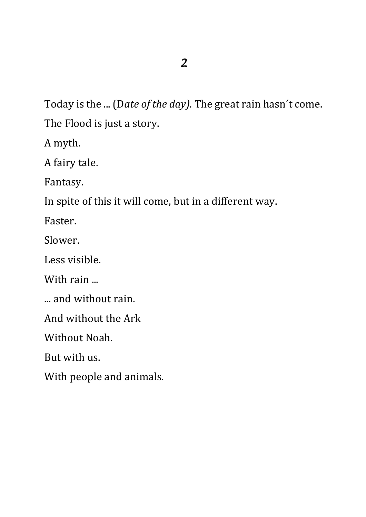Today is the ... (D*ate of the day).* The great rain hasn´t come. The Flood is just a story.

A myth.

A fairy tale.

Fantasy.

In spite of this it will come, but in a different way.

Faster.

Slower.

Less visible.

With rain ...

... and without rain.

And without the Ark

Without Noah.

But with us.

With people and animals*.*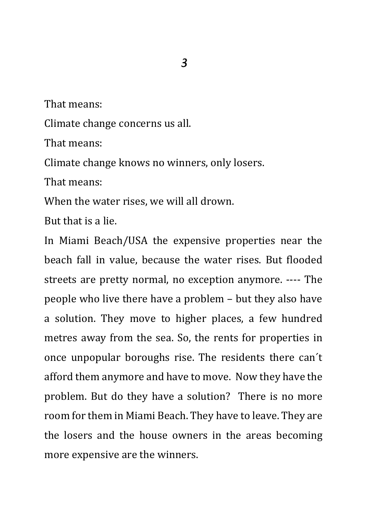That means:

Climate change concerns us all.

That means:

Climate change knows no winners, only losers.

That means:

When the water rises, we will all drown.

But that is a lie.

In Miami Beach/USA the expensive properties near the beach fall in value, because the water rises. But flooded streets are pretty normal, no exception anymore. ---- The people who live there have a problem – but they also have a solution. They move to higher places, a few hundred metres away from the sea. So, the rents for properties in once unpopular boroughs rise. The residents there can´t afford them anymore and have to move. Now they have the problem. But do they have a solution? There is no more room for them in Miami Beach. They have to leave. They are the losers and the house owners in the areas becoming more expensive are the winners.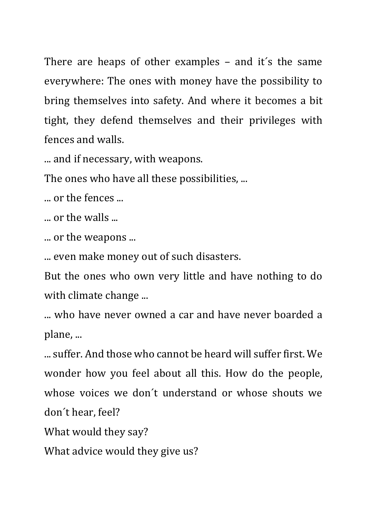There are heaps of other examples – and it´s the same everywhere: The ones with money have the possibility to bring themselves into safety. And where it becomes a bit tight, they defend themselves and their privileges with fences and walls.

... and if necessary, with weapons.

The ones who have all these possibilities, ...

... or the fences ...

... or the walls ...

... or the weapons ...

... even make money out of such disasters.

But the ones who own very little and have nothing to do with climate change ...

... who have never owned a car and have never boarded a plane, ...

... suffer. And those who cannot be heard will suffer first. We wonder how you feel about all this. How do the people, whose voices we don´t understand or whose shouts we don´t hear, feel?

What would they say?

What advice would they give us?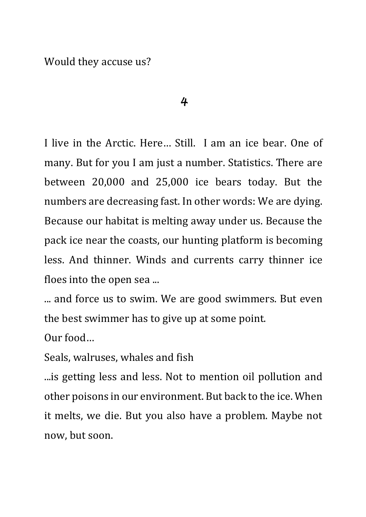Would they accuse us?

#### 4

I live in the Arctic. Here… Still. I am an ice bear. One of many. But for you I am just a number. Statistics. There are between 20,000 and 25,000 ice bears today. But the numbers are decreasing fast. In other words: We are dying. Because our habitat is melting away under us. Because the pack ice near the coasts, our hunting platform is becoming less. And thinner. Winds and currents carry thinner ice floes into the open sea ...

... and force us to swim. We are good swimmers. But even the best swimmer has to give up at some point.

Our food…

Seals, walruses, whales and fish

...is getting less and less. Not to mention oil pollution and other poisons in our environment. But back to the ice. When it melts, we die. But you also have a problem. Maybe not now, but soon.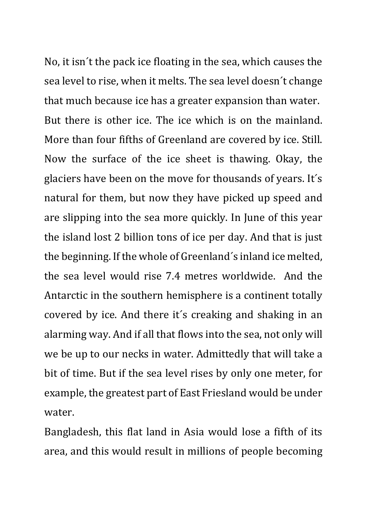No, it isn´t the pack ice floating in the sea, which causes the sea level to rise, when it melts. The sea level doesn´t change that much because ice has a greater expansion than water. But there is other ice. The ice which is on the mainland. More than four fifths of Greenland are covered by ice. Still. Now the surface of the ice sheet is thawing. Okay, the glaciers have been on the move for thousands of years. It´s natural for them, but now they have picked up speed and are slipping into the sea more quickly. In June of this year the island lost 2 billion tons of ice per day. And that is just the beginning. If the whole of Greenland´s inland ice melted, the sea level would rise 7.4 metres worldwide. And the Antarctic in the southern hemisphere is a continent totally covered by ice. And there it´s creaking and shaking in an alarming way. And if all that flows into the sea, not only will we be up to our necks in water. Admittedly that will take a bit of time. But if the sea level rises by only one meter, for example, the greatest part of East Friesland would be under water.

Bangladesh, this flat land in Asia would lose a fifth of its area, and this would result in millions of people becoming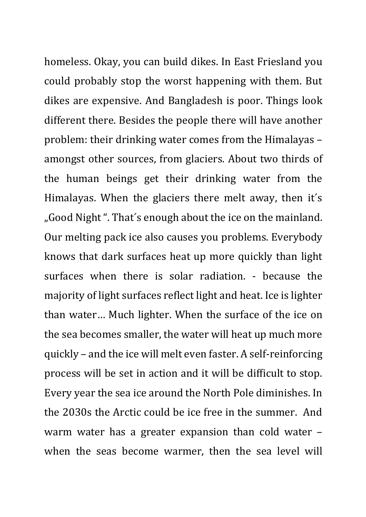homeless. Okay, you can build dikes. In East Friesland you could probably stop the worst happening with them. But dikes are expensive. And Bangladesh is poor. Things look different there. Besides the people there will have another problem: their drinking water comes from the Himalayas – amongst other sources, from glaciers. About two thirds of the human beings get their drinking water from the Himalayas. When the glaciers there melt away, then it´s "Good Night". That's enough about the ice on the mainland. Our melting pack ice also causes you problems. Everybody knows that dark surfaces heat up more quickly than light surfaces when there is solar radiation. - because the majority of light surfaces reflect light and heat. Ice is lighter than water… Much lighter. When the surface of the ice on the sea becomes smaller, the water will heat up much more quickly – and the ice will melt even faster. A self-reinforcing process will be set in action and it will be difficult to stop. Every year the sea ice around the North Pole diminishes. In the 2030s the Arctic could be ice free in the summer. And warm water has a greater expansion than cold water – when the seas become warmer, then the sea level will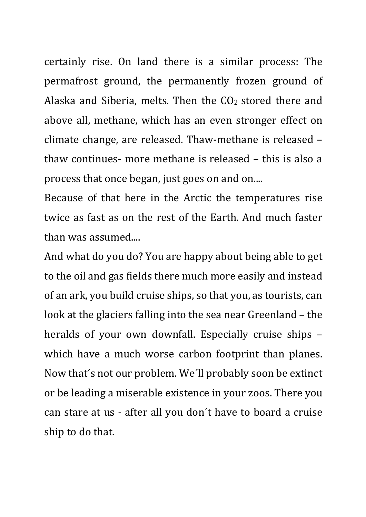certainly rise. On land there is a similar process: The permafrost ground, the permanently frozen ground of Alaska and Siberia, melts. Then the CO<sub>2</sub> stored there and above all, methane, which has an even stronger effect on climate change, are released. Thaw-methane is released – thaw continues- more methane is released – this is also a process that once began, just goes on and on....

Because of that here in the Arctic the temperatures rise twice as fast as on the rest of the Earth. And much faster than was assumed....

And what do you do? You are happy about being able to get to the oil and gas fields there much more easily and instead of an ark, you build cruise ships, so that you, as tourists, can look at the glaciers falling into the sea near Greenland – the heralds of your own downfall. Especially cruise ships – which have a much worse carbon footprint than planes. Now that´s not our problem. We´ll probably soon be extinct or be leading a miserable existence in your zoos. There you can stare at us - after all you don´t have to board a cruise ship to do that.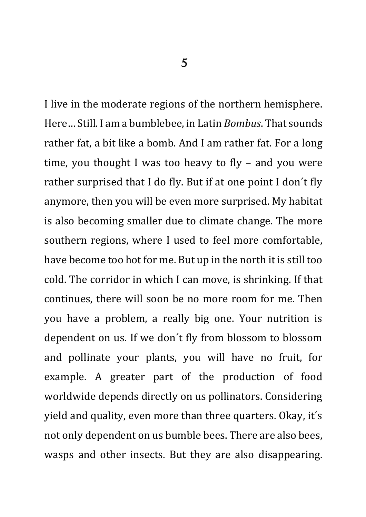I live in the moderate regions of the northern hemisphere. Here… Still. I am a bumblebee, in Latin *Bombus*. That sounds rather fat, a bit like a bomb. And I am rather fat. For a long time, you thought I was too heavy to fly – and you were rather surprised that I do fly. But if at one point I don´t fly anymore, then you will be even more surprised. My habitat is also becoming smaller due to climate change. The more southern regions, where I used to feel more comfortable, have become too hot for me. But up in the north it is still too cold. The corridor in which I can move, is shrinking. If that continues, there will soon be no more room for me. Then you have a problem, a really big one. Your nutrition is dependent on us. If we don´t fly from blossom to blossom and pollinate your plants, you will have no fruit, for example. A greater part of the production of food worldwide depends directly on us pollinators. Considering yield and quality, even more than three quarters. Okay, it´s not only dependent on us bumble bees. There are also bees, wasps and other insects. But they are also disappearing.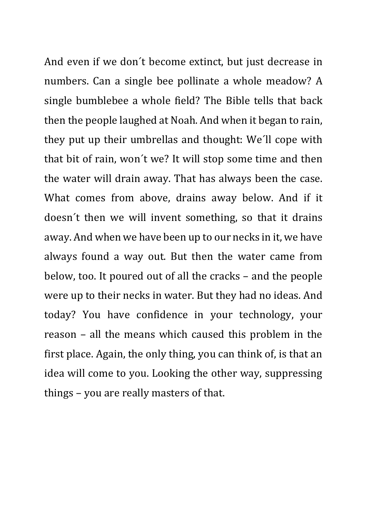And even if we don´t become extinct, but just decrease in numbers. Can a single bee pollinate a whole meadow? A single bumblebee a whole field? The Bible tells that back then the people laughed at Noah. And when it began to rain, they put up their umbrellas and thought: We´ll cope with that bit of rain, won´t we? It will stop some time and then the water will drain away. That has always been the case. What comes from above, drains away below. And if it doesn´t then we will invent something, so that it drains away. And when we have been up to our necks in it, we have always found a way out. But then the water came from below, too. It poured out of all the cracks – and the people were up to their necks in water. But they had no ideas. And today? You have confidence in your technology, your reason – all the means which caused this problem in the first place. Again, the only thing, you can think of, is that an idea will come to you. Looking the other way, suppressing things – you are really masters of that.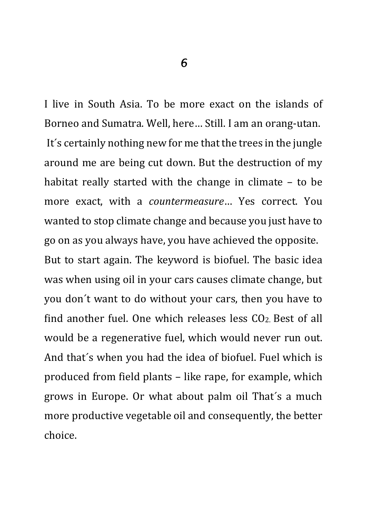I live in South Asia. To be more exact on the islands of Borneo and Sumatra. Well, here… Still. I am an orang-utan. It´s certainly nothing new for me that the trees in the jungle around me are being cut down. But the destruction of my habitat really started with the change in climate – to be more exact, with a *countermeasure*… Yes correct. You wanted to stop climate change and because you just have to go on as you always have, you have achieved the opposite. But to start again. The keyword is biofuel. The basic idea was when using oil in your cars causes climate change, but you don´t want to do without your cars, then you have to find another fuel. One which releases less  $CO<sub>2</sub>$  Best of all would be a regenerative fuel, which would never run out. And that´s when you had the idea of biofuel. Fuel which is produced from field plants – like rape, for example, which grows in Europe. Or what about palm oil That´s a much more productive vegetable oil and consequently, the better choice.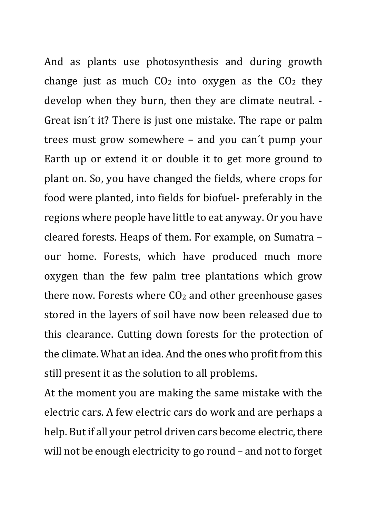And as plants use photosynthesis and during growth change just as much  $CO<sub>2</sub>$  into oxygen as the  $CO<sub>2</sub>$  they develop when they burn, then they are climate neutral. - Great isn´t it? There is just one mistake. The rape or palm trees must grow somewhere – and you can´t pump your Earth up or extend it or double it to get more ground to plant on. So, you have changed the fields, where crops for food were planted, into fields for biofuel- preferably in the regions where people have little to eat anyway. Or you have cleared forests. Heaps of them. For example, on Sumatra – our home. Forests, which have produced much more oxygen than the few palm tree plantations which grow there now. Forests where CO2 and other greenhouse gases stored in the layers of soil have now been released due to this clearance. Cutting down forests for the protection of the climate. What an idea. And the ones who profit from this still present it as the solution to all problems.

At the moment you are making the same mistake with the electric cars. A few electric cars do work and are perhaps a help. But if all your petrol driven cars become electric, there will not be enough electricity to go round – and not to forget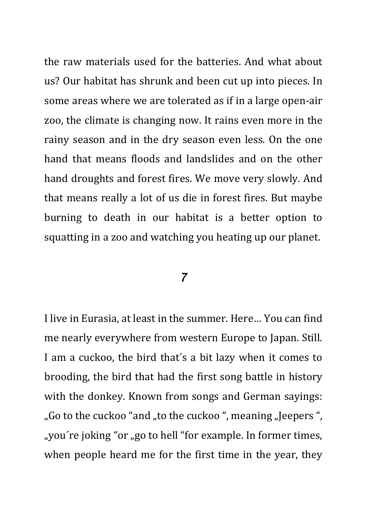the raw materials used for the batteries. And what about us? Our habitat has shrunk and been cut up into pieces. In some areas where we are tolerated as if in a large open-air zoo, the climate is changing now. It rains even more in the rainy season and in the dry season even less. On the one hand that means floods and landslides and on the other hand droughts and forest fires. We move very slowly. And that means really a lot of us die in forest fires. But maybe burning to death in our habitat is a better option to squatting in a zoo and watching you heating up our planet.

### 7

I live in Eurasia, at least in the summer. Here… You can find me nearly everywhere from western Europe to Japan. Still. I am a cuckoo, the bird that´s a bit lazy when it comes to brooding, the bird that had the first song battle in history with the donkey. Known from songs and German sayings: ", Go to the cuckoo "and ", to the cuckoo", meaning "Jeepers", ", you're joking "or", go to hell "for example. In former times, when people heard me for the first time in the year, they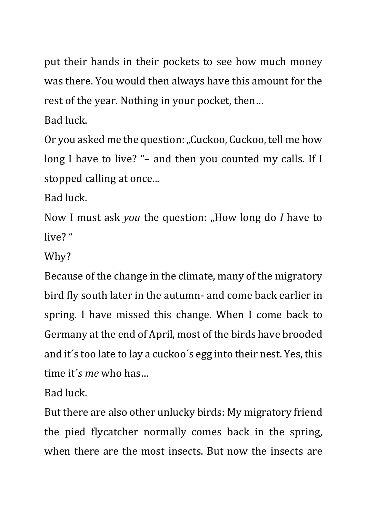put their hands in their pockets to see how much money was there. You would then always have this amount for the rest of the year. Nothing in your pocket, then…

Bad luck.

Or you asked me the question: "Cuckoo, Cuckoo, tell me how long I have to live? "- and then you counted my calls. If I stopped calling at once...

Bad luck.

Now I must ask *you* the question: "How long do *I* have to live? "

Why?

Because of the change in the climate, many of the migratory bird fly south later in the autumn- and come back earlier in spring. I have missed this change. When I come back to Germany at the end of April, most of the birds have brooded and it´s too late to lay a cuckoo´s egg into their nest. Yes, this time it´*s me* who has…

Bad luck.

But there are also other unlucky birds: My migratory friend the pied flycatcher normally comes back in the spring, when there are the most insects. But now the insects are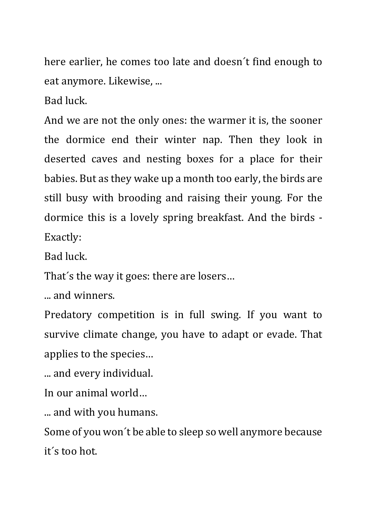here earlier, he comes too late and doesn´t find enough to eat anymore. Likewise, ...

Bad luck.

And we are not the only ones: the warmer it is, the sooner the dormice end their winter nap. Then they look in deserted caves and nesting boxes for a place for their babies. But as they wake up a month too early, the birds are still busy with brooding and raising their young. For the dormice this is a lovely spring breakfast. And the birds - Exactly:

Bad luck.

That´s the way it goes: there are losers…

... and winners.

Predatory competition is in full swing. If you want to survive climate change, you have to adapt or evade. That applies to the species…

... and every individual.

In our animal world…

... and with you humans.

Some of you won´t be able to sleep so well anymore because it´s too hot.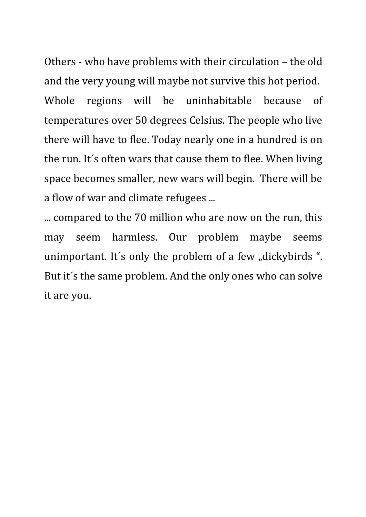Others - who have problems with their circulation – the old and the very young will maybe not survive this hot period. Whole regions will be uninhabitable because of temperatures over 50 degrees Celsius. The people who live there will have to flee. Today nearly one in a hundred is on the run. It´s often wars that cause them to flee. When living space becomes smaller, new wars will begin. There will be a flow of war and climate refugees ...

... compared to the 70 million who are now on the run, this may seem harmless. Our problem maybe seems unimportant. It's only the problem of a few "dickybirds". But it´s the same problem. And the only ones who can solve it are you.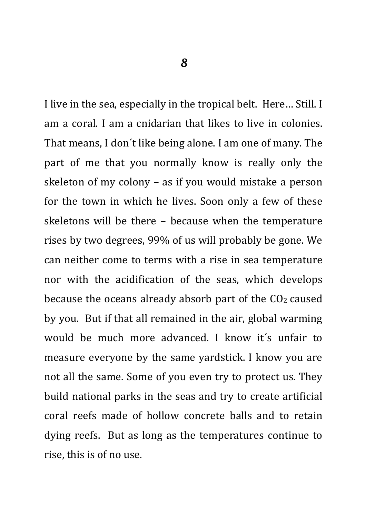I live in the sea, especially in the tropical belt. Here… Still. I am a coral. I am a cnidarian that likes to live in colonies. That means, I don´t like being alone. I am one of many. The part of me that you normally know is really only the skeleton of my colony – as if you would mistake a person for the town in which he lives. Soon only a few of these skeletons will be there – because when the temperature rises by two degrees, 99% of us will probably be gone. We can neither come to terms with a rise in sea temperature nor with the acidification of the seas, which develops because the oceans already absorb part of the  $CO<sub>2</sub>$  caused by you. But if that all remained in the air, global warming would be much more advanced. I know it´s unfair to measure everyone by the same yardstick. I know you are not all the same. Some of you even try to protect us. They build national parks in the seas and try to create artificial coral reefs made of hollow concrete balls and to retain dying reefs. But as long as the temperatures continue to rise, this is of no use.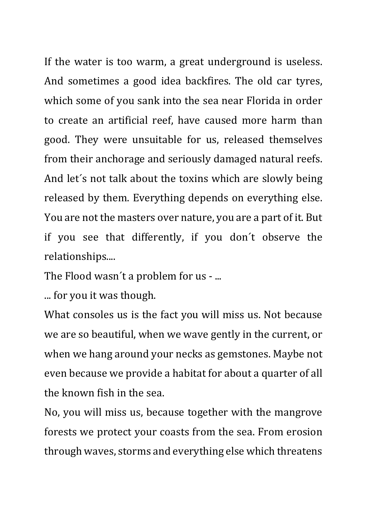If the water is too warm, a great underground is useless. And sometimes a good idea backfires. The old car tyres, which some of you sank into the sea near Florida in order to create an artificial reef, have caused more harm than good. They were unsuitable for us, released themselves from their anchorage and seriously damaged natural reefs. And let´s not talk about the toxins which are slowly being released by them. Everything depends on everything else. You are not the masters over nature, you are a part of it. But if you see that differently, if you don´t observe the relationships....

The Flood wasn´t a problem for us - ...

... for you it was though.

What consoles us is the fact you will miss us. Not because we are so beautiful, when we wave gently in the current, or when we hang around your necks as gemstones. Maybe not even because we provide a habitat for about a quarter of all the known fish in the sea.

No, you will miss us, because together with the mangrove forests we protect your coasts from the sea. From erosion through waves, storms and everything else which threatens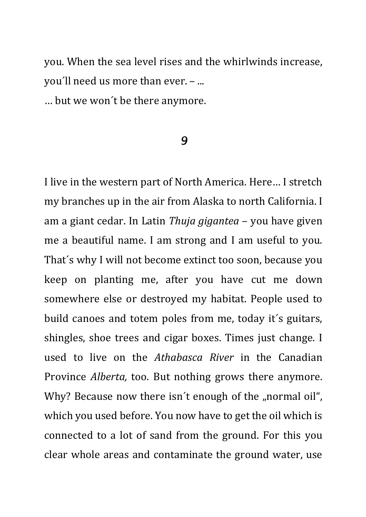you. When the sea level rises and the whirlwinds increase, you´ll need us more than ever. – ...

… but we won´t be there anymore.

#### 9

I live in the western part of North America. Here… I stretch my branches up in the air from Alaska to north California. I am a giant cedar. In Latin *Thuja gigantea* – you have given me a beautiful name. I am strong and I am useful to you. That´s why I will not become extinct too soon, because you keep on planting me, after you have cut me down somewhere else or destroyed my habitat. People used to build canoes and totem poles from me, today it´s guitars, shingles, shoe trees and cigar boxes. Times just change. I used to live on the *Athabasca River* in the Canadian Province *Alberta,* too. But nothing grows there anymore. Why? Because now there isn't enough of the "normal oil", which you used before. You now have to get the oil which is connected to a lot of sand from the ground. For this you clear whole areas and contaminate the ground water, use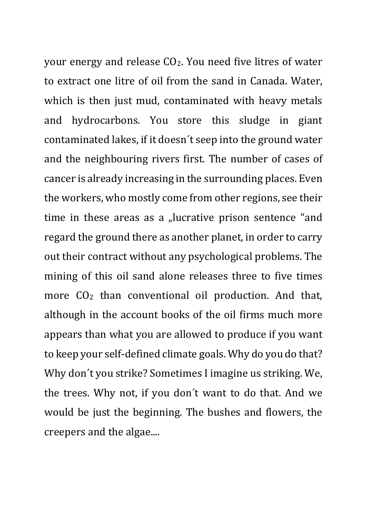your energy and release CO2. You need five litres of water to extract one litre of oil from the sand in Canada. Water, which is then just mud, contaminated with heavy metals and hydrocarbons. You store this sludge in giant contaminated lakes, if it doesn´t seep into the ground water and the neighbouring rivers first. The number of cases of cancer is already increasing in the surrounding places. Even the workers, who mostly come from other regions, see their time in these areas as a "lucrative prison sentence "and regard the ground there as another planet, in order to carry out their contract without any psychological problems. The mining of this oil sand alone releases three to five times more CO2 than conventional oil production. And that, although in the account books of the oil firms much more appears than what you are allowed to produce if you want to keep your self-defined climate goals. Why do you do that? Why don´t you strike? Sometimes I imagine us striking. We, the trees. Why not, if you don´t want to do that. And we would be just the beginning. The bushes and flowers, the creepers and the algae....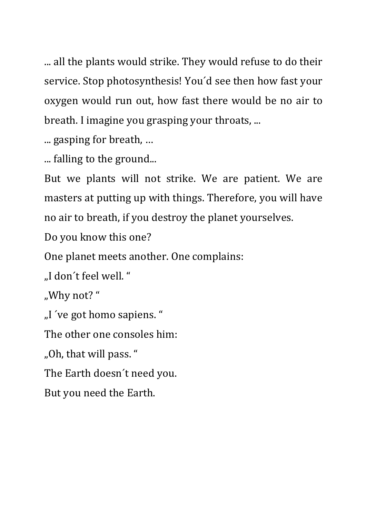... all the plants would strike. They would refuse to do their service. Stop photosynthesis! You´d see then how fast your oxygen would run out, how fast there would be no air to breath. I imagine you grasping your throats, ...

... gasping for breath, …

... falling to the ground...

But we plants will not strike. We are patient. We are masters at putting up with things. Therefore, you will have no air to breath, if you destroy the planet yourselves.

Do you know this one?

One planet meets another. One complains:

"I don´t feel well. "

"Why not? "

"I ´ve got homo sapiens. "

The other one consoles him:

"Oh, that will pass. "

The Earth doesn´t need you.

But you need the Earth.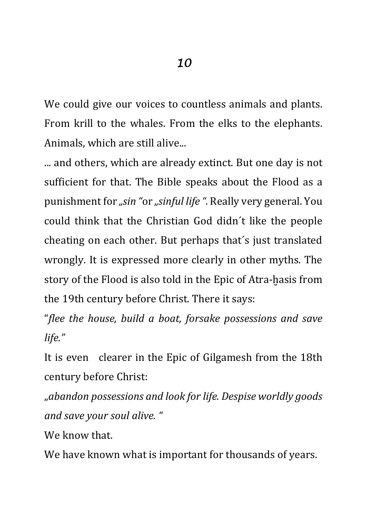We could give our voices to countless animals and plants. From krill to the whales. From the elks to the elephants. Animals, which are still alive...

... and others, which are already extinct. But one day is not sufficient for that. The Bible speaks about the Flood as a punishment for *"sin "*or *"sinful life ".* Really very general. You could think that the Christian God didn´t like the people cheating on each other. But perhaps that´s just translated wrongly. It is expressed more clearly in other myths. The story of the Flood is also told in the Epic of Atra-ḫasis from the 19th century before Christ. There it says:

"*flee the house, build a boat, forsake possessions and save life."* 

It is even clearer in the Epic of Gilgamesh from the 18th century before Christ:

"*abandon possessions and look for life. Despise worldly goods and save your soul alive. "*

We know that.

We have known what is important for thousands of years.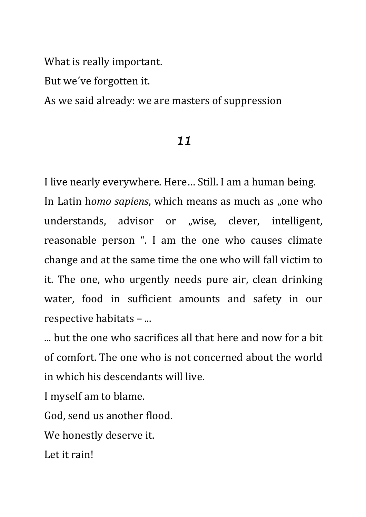What is really important.

But we´ve forgotten it.

As we said already: we are masters of suppression

## 11

I live nearly everywhere. Here… Still. I am a human being. In Latin homo sapiens, which means as much as "one who understands, advisor or "wise, clever, intelligent, reasonable person ". I am the one who causes climate change and at the same time the one who will fall victim to it. The one, who urgently needs pure air, clean drinking water, food in sufficient amounts and safety in our respective habitats – ...

... but the one who sacrifices all that here and now for a bit of comfort. The one who is not concerned about the world in which his descendants will live.

I myself am to blame.

God, send us another flood.

We honestly deserve it.

Let it rain!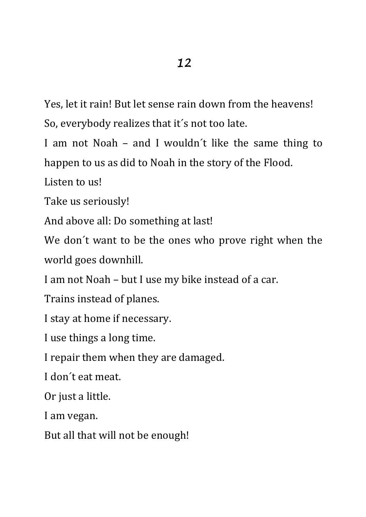Yes, let it rain! But let sense rain down from the heavens! So, everybody realizes that it´s not too late.

I am not Noah – and I wouldn´t like the same thing to happen to us as did to Noah in the story of the Flood.

Listen to us!

Take us seriously!

And above all: Do something at last!

We don´t want to be the ones who prove right when the world goes downhill.

I am not Noah – but I use my bike instead of a car.

Trains instead of planes.

I stay at home if necessary.

I use things a long time.

I repair them when they are damaged.

I don´t eat meat.

Or just a little.

I am vegan.

But all that will not be enough!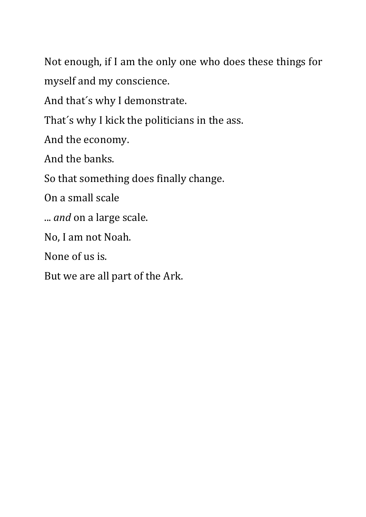Not enough, if I am the only one who does these things for myself and my conscience.

And that´s why I demonstrate.

That´s why I kick the politicians in the ass.

And the economy.

And the banks.

So that something does finally change.

On a small scale

... *and* on a large scale.

No, I am not Noah.

None of us is.

But we are all part of the Ark.